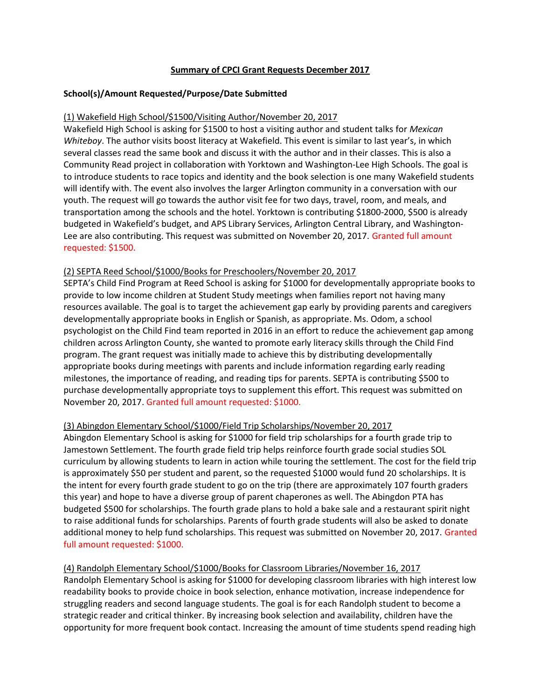# Summary of CPCI Grant Requests December 2017

# School(s)/Amount Requested/Purpose/Date Submitted

# (1) Wakefield High School/\$1500/Visiting Author/November 20, 2017

Wakefield High School is asking for \$1500 to host a visiting author and student talks for Mexican Whiteboy. The author visits boost literacy at Wakefield. This event is similar to last year's, in which several classes read the same book and discuss it with the author and in their classes. This is also a Community Read project in collaboration with Yorktown and Washington-Lee High Schools. The goal is to introduce students to race topics and identity and the book selection is one many Wakefield students will identify with. The event also involves the larger Arlington community in a conversation with our youth. The request will go towards the author visit fee for two days, travel, room, and meals, and transportation among the schools and the hotel. Yorktown is contributing \$1800-2000, \$500 is already budgeted in Wakefield's budget, and APS Library Services, Arlington Central Library, and Washington-Lee are also contributing. This request was submitted on November 20, 2017. Granted full amount requested: \$1500.

### (2) SEPTA Reed School/\$1000/Books for Preschoolers/November 20, 2017

SEPTA's Child Find Program at Reed School is asking for \$1000 for developmentally appropriate books to provide to low income children at Student Study meetings when families report not having many resources available. The goal is to target the achievement gap early by providing parents and caregivers developmentally appropriate books in English or Spanish, as appropriate. Ms. Odom, a school psychologist on the Child Find team reported in 2016 in an effort to reduce the achievement gap among children across Arlington County, she wanted to promote early literacy skills through the Child Find program. The grant request was initially made to achieve this by distributing developmentally appropriate books during meetings with parents and include information regarding early reading milestones, the importance of reading, and reading tips for parents. SEPTA is contributing \$500 to purchase developmentally appropriate toys to supplement this effort. This request was submitted on November 20, 2017. Granted full amount requested: \$1000.

# (3) Abingdon Elementary School/\$1000/Field Trip Scholarships/November 20, 2017

Abingdon Elementary School is asking for \$1000 for field trip scholarships for a fourth grade trip to Jamestown Settlement. The fourth grade field trip helps reinforce fourth grade social studies SOL curriculum by allowing students to learn in action while touring the settlement. The cost for the field trip is approximately \$50 per student and parent, so the requested \$1000 would fund 20 scholarships. It is the intent for every fourth grade student to go on the trip (there are approximately 107 fourth graders this year) and hope to have a diverse group of parent chaperones as well. The Abingdon PTA has budgeted \$500 for scholarships. The fourth grade plans to hold a bake sale and a restaurant spirit night to raise additional funds for scholarships. Parents of fourth grade students will also be asked to donate additional money to help fund scholarships. This request was submitted on November 20, 2017. Granted full amount requested: \$1000.

(4) Randolph Elementary School/\$1000/Books for Classroom Libraries/November 16, 2017 Randolph Elementary School is asking for \$1000 for developing classroom libraries with high interest low readability books to provide choice in book selection, enhance motivation, increase independence for struggling readers and second language students. The goal is for each Randolph student to become a strategic reader and critical thinker. By increasing book selection and availability, children have the opportunity for more frequent book contact. Increasing the amount of time students spend reading high